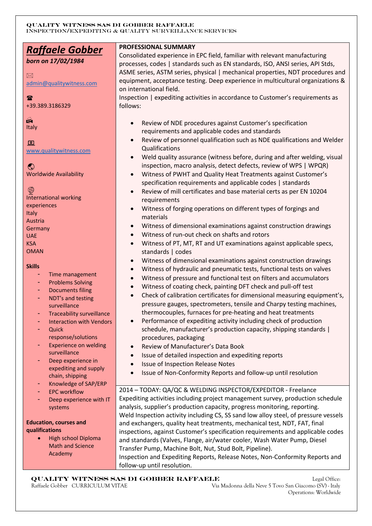| <u> Raffaele Gobber</u>                            | PROFESSIONAL SUMMARY                                                                                                                    |
|----------------------------------------------------|-----------------------------------------------------------------------------------------------------------------------------------------|
|                                                    | Consolidated experience in EPC field, familiar with relevant manufacturing                                                              |
| born on 17/02/1984                                 | processes, codes   standards such as EN standards, ISO, ANSI series, API Stds,                                                          |
| $\boxtimes$                                        | ASME series, ASTM series, physical   mechanical properties, NDT procedures and                                                          |
| admin@qualitywitness.com                           | equipment, acceptance testing. Deep experience in multicultural organizations &                                                         |
|                                                    | on international field.                                                                                                                 |
| $\mathbf{R}$                                       | Inspection   expediting activities in accordance to Customer's requirements as                                                          |
| +39.389.3186329                                    | follows:                                                                                                                                |
| $\mathbb{C}$                                       |                                                                                                                                         |
| Italy                                              | Review of NDE procedures against Customer's specification                                                                               |
|                                                    | requirements and applicable codes and standards                                                                                         |
| $\blacksquare$                                     | Review of personnel qualification such as NDE qualifications and Welder                                                                 |
| www.qualitywitness.com                             | Qualifications                                                                                                                          |
|                                                    | Weld quality assurance (witness before, during and after welding, visual                                                                |
| $\odot$                                            | inspection, macro analysis, detect defects, review of WPS   WPQR)                                                                       |
| <b>Worldwide Availability</b>                      | Witness of PWHT and Quality Heat Treatments against Customer's<br>$\bullet$                                                             |
|                                                    | specification requirements and applicable codes   standards                                                                             |
| ً<br><b>International working</b>                  | Review of mill certificates and base material certs as per EN 10204                                                                     |
| experiences                                        | requirements                                                                                                                            |
| Italy                                              | Witness of forging operations on different types of forgings and                                                                        |
| Austria                                            | materials                                                                                                                               |
| Germany                                            | Witness of dimensional examinations against construction drawings<br>$\bullet$                                                          |
| <b>UAE</b>                                         | Witness of run-out check on shafts and rotors<br>$\bullet$                                                                              |
| <b>KSA</b>                                         | Witness of PT, MT, RT and UT examinations against applicable specs,<br>$\bullet$                                                        |
| <b>OMAN</b>                                        | standards   codes                                                                                                                       |
| <b>Skills</b>                                      | Witness of dimensional examinations against construction drawings<br>$\bullet$                                                          |
| Time management                                    | Witness of hydraulic and pneumatic tests, functional tests on valves<br>$\bullet$                                                       |
| <b>Problems Solving</b>                            | Witness of pressure and functional test on filters and accumulators<br>$\bullet$                                                        |
| <b>Documents filing</b>                            | Witness of coating check, painting DFT check and pull-off test<br>$\bullet$                                                             |
| NDT's and testing                                  | Check of calibration certificates for dimensional measuring equipment's,<br>$\bullet$                                                   |
| surveillance                                       | pressure gauges, spectrometers, tensile and Charpy testing machines,                                                                    |
| <b>Traceability surveillance</b>                   | thermocouples, furnaces for pre-heating and heat treatments                                                                             |
| <b>Interaction with Vendors</b>                    | Performance of expediting activity including check of production                                                                        |
| Quick                                              | schedule, manufacturer's production capacity, shipping standards                                                                        |
| response/solutions<br><b>Experience on welding</b> | procedures, packaging                                                                                                                   |
| surveillance                                       | Review of Manufacturer's Data Book<br>$\bullet$                                                                                         |
| Deep experience in                                 | Issue of detailed inspection and expediting reports<br>$\bullet$                                                                        |
| expediting and supply                              | <b>Issue of Inspection Release Notes</b><br>$\bullet$                                                                                   |
| chain, shipping                                    | Issue of Non-Conformity Reports and follow-up until resolution<br>$\bullet$                                                             |
| Knowledge of SAP/ERP                               |                                                                                                                                         |
| <b>EPC</b> workflow                                | 2014 - TODAY: QA/QC & WELDING INSPECTOR/EXPEDITOR - Freelance                                                                           |
| Deep experience with IT                            | Expediting activities including project management survey, production schedule                                                          |
| systems                                            | analysis, supplier's production capacity, progress monitoring, reporting.                                                               |
|                                                    | Weld Inspection activity including CS, SS sand low alloy steel, of pressure vessels                                                     |
| <b>Education, courses and</b><br>qualifications    | and exchangers, quality heat treatments, mechanical test, NDT, FAT, final                                                               |
|                                                    | inspections, against Customer's specification requirements and applicable codes                                                         |
|                                                    |                                                                                                                                         |
| High school Diploma<br><b>Math and Science</b>     | and standards (Valves, Flange, air/water cooler, Wash Water Pump, Diesel                                                                |
| Academy                                            | Transfer Pump, Machine Bolt, Nut, Stud Bolt, Pipeline).<br>Inspection and Expediting Reports, Release Notes, Non-Conformity Reports and |

 **QUALITY WITNESS SAS DI GOBBER RAFFAELE** Legal Office:

 Raffaele Gobber CURRICULUM VITAE Via Madonna della Neve 5 Tovo San Giacomo (SV) - Italy Legal Office:<br>Via Madonna della Neve 5 Tovo San Giacomo (SV) - Italy<br>Operations: Worldwide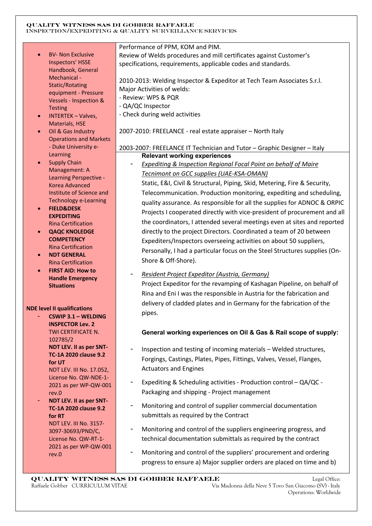- BV- Non Exclusive Inspectors' HSSE Handbook, General Mechanical - Static/Rotating equipment - Pressure Vessels - Inspection & **Testing**
- INTERTEK Valves, Materials, HSE
- Oil & Gas Industry Operations and Markets - Duke University e-Learning
- **Supply Chain** Management: A Learning Perspective - Korea Advanced Institute of Science and Technology e-Learning
- **FIELD&DESK EXPEDITING** Rina Certification
- **QAQC KNOLEDGE COMPETENCY** Rina Certification
- **NDT GENERAL** Rina Certification
- **FIRST AID: How to Handle Emergency Situations**

### **NDE level II qualifications**

- **CSWIP 3.1 – WELDING INSPECTOR Lev. 2** TWI CERTIFICATE N. 102785/2 **NDT LEV. II as per SNT-TC-1A 2020 clause 9.2 for UT** NDT LEV. III No. 17.052, License No. QW-NDE-1- 2021 as per WP-QW-001 rev.0 - **NDT LEV. II as per SNT-TC-1A 2020 clause 9.2 for RT**

NDT LEV. III No. 3157- 3097-30693/PND/C, License No. QW-RT-1- 2021 as per WP-QW-001 rev.0

## Performance of PPM, KOM and PIM.

Review of Welds procedures and mill certificates against Customer's specifications, requirements, applicable codes and standards.

2010-2013: Welding Inspector & Expeditor at Tech Team Associates S.r.l. Major Activities of welds:

- Review: WPS & PQR
- QA/QC Inspector
- Check during weld activities

2007-2010: FREELANCE - real estate appraiser – North Italy

## 2003-2007: FREELANCE IT Technician and Tutor – Graphic Designer – Italy **Relevant working experiences**

- *Expediting & Inspection Regional Focal Point on behalf of Maire Tecnimont on GCC supplies (UAE-KSA-OMAN)* 

Static, E&I, Civil & Structural, Piping, Skid, Metering, Fire & Security, Telecommunication. Production monitoring, expediting and scheduling, quality assurance. As responsible for all the supplies for ADNOC & ORPIC Projects I cooperated directly with vice-president of procurement and all the coordinators, I attended several meetings even at sites and reported directly to the project Directors. Coordinated a team of 20 between Expediters/Inspectors overseeing activities on about 50 suppliers, Personally, I had a particular focus on the Steel Structures supplies (On-Shore & Off-Shore).

- *Resident Project Expeditor (Austria, Germany)*  Project Expeditor for the revamping of Kashagan Pipeline, on behalf of Rina and Eni I was the responsible in Austria for the fabrication and delivery of cladded plates and in Germany for the fabrication of the pipes.

## **General working experiences on Oil & Gas & Rail scope of supply:**

- Inspection and testing of incoming materials Welded structures, Forgings, Castings, Plates, Pipes, Fittings, Valves, Vessel, Flanges, Actuators and Engines
- Expediting & Scheduling activities Production control QA/QC Packaging and shipping - Project management
- Monitoring and control of supplier commercial documentation submittals as required by the Contract
- Monitoring and control of the suppliers engineering progress, and technical documentation submittals as required by the contract
- Monitoring and control of the suppliers' procurement and ordering progress to ensure a) Major supplier orders are placed on time and b)

 **QUALITY WITNESS SAS DI GOBBER RAFFAELE** Legal Office: Raffaele Gobber CURRICULUM VITAE Via Madonna della Neve 5 Tovo San Giacomo (SV) - Italy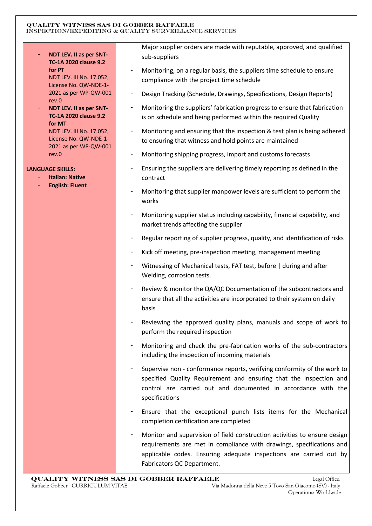- **NDT LEV. II as per SNT-TC-1A 2020 clause 9.2 for PT** NDT LEV. III No. 17.052, License No. QW-NDE-1- 2021 as per WP-QW-001 rev.0 - **NDT LEV. II as per SNT-TC-1A 2020 clause 9.2 for MT** NDT LEV. III No. 17.052, License No. QW-NDE-1- 2021 as per WP-QW-001 rev.0 **LANGUAGE SKILLS:** - **Italian: Native** - **English: Fluent**  Major supplier orders are made with reputable, approved, and qualified sub-suppliers - Monitoring, on a regular basis, the suppliers time schedule to ensure compliance with the project time schedule - Design Tracking (Schedule, Drawings, Specifications, Design Reports) Monitoring the suppliers' fabrication progress to ensure that fabrication is on schedule and being performed within the required Quality Monitoring and ensuring that the inspection & test plan is being adhered to ensuring that witness and hold points are maintained - Monitoring shipping progress, import and customs forecasts - Ensuring the suppliers are delivering timely reporting as defined in the contract - Monitoring that supplier manpower levels are sufficient to perform the works Monitoring supplier status including capability, financial capability, and market trends affecting the supplier Regular reporting of supplier progress, quality, and identification of risks Kick off meeting, pre-inspection meeting, management meeting Witnessing of Mechanical tests, FAT test, before | during and after Welding, corrosion tests. - Review & monitor the QA/QC Documentation of the subcontractors and ensure that all the activities are incorporated to their system on daily basis Reviewing the approved quality plans, manuals and scope of work to perform the required inspection - Monitoring and check the pre-fabrication works of the sub-contractors including the inspection of incoming materials Supervise non - conformance reports, verifying conformity of the work to specified Quality Requirement and ensuring that the inspection and control are carried out and documented in accordance with the specifications Ensure that the exceptional punch lists items for the Mechanical completion certification are completed Monitor and supervision of field construction activities to ensure design requirements are met in compliance with drawings, specifications and applicable codes. Ensuring adequate inspections are carried out by Fabricators QC Department.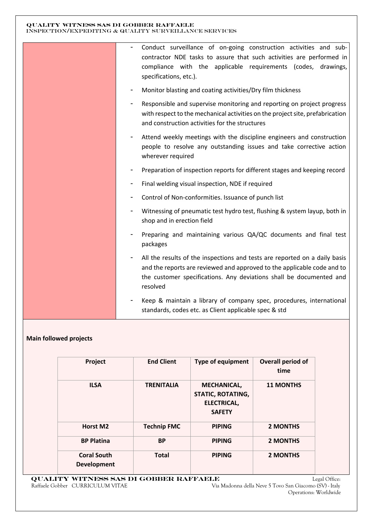| Conduct surveillance of on-going construction activities and sub-<br>$\overline{\phantom{0}}$<br>contractor NDE tasks to assure that such activities are performed in<br>compliance with the applicable requirements (codes, drawings,<br>specifications, etc.).<br>Monitor blasting and coating activities/Dry film thickness<br>Responsible and supervise monitoring and reporting on project progress<br>with respect to the mechanical activities on the project site, prefabrication |
|-------------------------------------------------------------------------------------------------------------------------------------------------------------------------------------------------------------------------------------------------------------------------------------------------------------------------------------------------------------------------------------------------------------------------------------------------------------------------------------------|
| and construction activities for the structures<br>Attend weekly meetings with the discipline engineers and construction<br>people to resolve any outstanding issues and take corrective action<br>wherever required                                                                                                                                                                                                                                                                       |
| Preparation of inspection reports for different stages and keeping record<br>Final welding visual inspection, NDE if required                                                                                                                                                                                                                                                                                                                                                             |
| Control of Non-conformities. Issuance of punch list<br>Witnessing of pneumatic test hydro test, flushing & system layup, both in<br>shop and in erection field                                                                                                                                                                                                                                                                                                                            |
| Preparing and maintaining various QA/QC documents and final test<br>packages                                                                                                                                                                                                                                                                                                                                                                                                              |
| All the results of the inspections and tests are reported on a daily basis<br>and the reports are reviewed and approved to the applicable code and to<br>the customer specifications. Any deviations shall be documented and<br>resolved                                                                                                                                                                                                                                                  |
| Keep & maintain a library of company spec, procedures, international<br>standards, codes etc. as Client applicable spec & std                                                                                                                                                                                                                                                                                                                                                             |

# **Main followed projects**

| Project                                  | <b>End Client</b>  | <b>Type of equipment</b>                                                       | Overall period of<br>time |
|------------------------------------------|--------------------|--------------------------------------------------------------------------------|---------------------------|
| <b>ILSA</b>                              | <b>TRENITALIA</b>  | <b>MECHANICAL,</b><br><b>STATIC, ROTATING,</b><br>ELECTRICAL,<br><b>SAFETY</b> | <b>11 MONTHS</b>          |
| Horst M2                                 | <b>Technip FMC</b> | <b>PIPING</b>                                                                  | <b>2 MONTHS</b>           |
| <b>BP Platina</b>                        | <b>BP</b>          | <b>PIPING</b>                                                                  | <b>2 MONTHS</b>           |
| <b>Coral South</b><br><b>Development</b> | <b>Total</b>       | <b>PIPING</b>                                                                  | <b>2 MONTHS</b>           |

 **QUALITY WITNESS SAS DI GOBBER RAFFAELE** Legal Office: Raffaele Gobber CURRICULUM VITAE Via Madonna della Neve 5 Tovo San Giacomo (SV) - Italy

Operations: Worldwide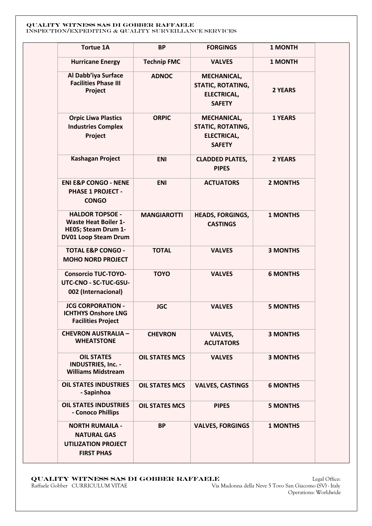| <b>Tortue 1A</b>                                                                                            | <b>BP</b>             | <b>FORGINGS</b>                                                                | 1 MONTH         |
|-------------------------------------------------------------------------------------------------------------|-----------------------|--------------------------------------------------------------------------------|-----------------|
| <b>Hurricane Energy</b>                                                                                     | <b>Technip FMC</b>    | <b>VALVES</b>                                                                  | <b>1 MONTH</b>  |
| Al Dabb'iya Surface<br><b>Facilities Phase III</b><br>Project                                               | <b>ADNOC</b>          | MECHANICAL,<br><b>STATIC, ROTATING,</b><br><b>ELECTRICAL,</b><br><b>SAFETY</b> | 2 YEARS         |
| <b>Orpic Liwa Plastics</b><br><b>Industries Complex</b><br>Project                                          | <b>ORPIC</b>          | MECHANICAL,<br>STATIC, ROTATING,<br><b>ELECTRICAL,</b><br><b>SAFETY</b>        | <b>1 YEARS</b>  |
| <b>Kashagan Project</b>                                                                                     | <b>ENI</b>            | <b>CLADDED PLATES,</b><br><b>PIPES</b>                                         | 2 YEARS         |
| <b>ENI E&amp;P CONGO - NENE</b><br><b>PHASE 1 PROJECT -</b><br><b>CONGO</b>                                 | <b>ENI</b>            | <b>ACTUATORS</b>                                                               | <b>2 MONTHS</b> |
| <b>HALDOR TOPSOE -</b><br><b>Waste Heat Boiler 1-</b><br>HE05; Steam Drum 1-<br><b>DV01 Loop Steam Drum</b> | <b>MANGIAROTTI</b>    | <b>HEADS, FORGINGS,</b><br><b>CASTINGS</b>                                     | <b>1 MONTHS</b> |
| <b>TOTAL E&amp;P CONGO -</b><br><b>MOHO NORD PROJECT</b>                                                    | <b>TOTAL</b>          | <b>VALVES</b>                                                                  | <b>3 MONTHS</b> |
| <b>Consorcio TUC-TOYO-</b><br>UTC-CNO - SC-TUC-GSU-<br>002 (Internacional)                                  | <b>TOYO</b>           | <b>VALVES</b>                                                                  | <b>6 MONTHS</b> |
| <b>JCG CORPORATION -</b><br><b>ICHTHYS Onshore LNG</b><br><b>Facilities Project</b>                         | <b>JGC</b>            | <b>VALVES</b>                                                                  | <b>5 MONTHS</b> |
| <b>CHEVRON AUSTRALIA -</b><br><b>WHEATSTONE</b>                                                             | <b>CHEVRON</b>        | <b>VALVES,</b><br><b>ACUTATORS</b>                                             | <b>3 MONTHS</b> |
| <b>OIL STATES</b><br><b>INDUSTRIES, Inc. -</b><br><b>Williams Midstream</b>                                 | <b>OIL STATES MCS</b> | <b>VALVES</b>                                                                  | <b>3 MONTHS</b> |
| <b>OIL STATES INDUSTRIES</b><br>- Sapinhoa                                                                  | <b>OIL STATES MCS</b> | <b>VALVES, CASTINGS</b>                                                        | <b>6 MONTHS</b> |
| <b>OIL STATES INDUSTRIES</b><br>- Conoco Phillips                                                           | <b>OIL STATES MCS</b> | <b>PIPES</b>                                                                   | <b>5 MONTHS</b> |
| <b>NORTH RUMAILA -</b><br><b>NATURAL GAS</b><br><b>UTILIZATION PROJECT</b><br><b>FIRST PHAS</b>             | <b>BP</b>             | <b>VALVES, FORGINGS</b>                                                        | <b>1 MONTHS</b> |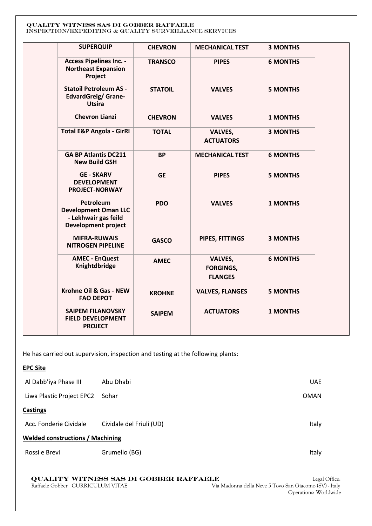| <b>SUPERQUIP</b>                                                                               | <b>CHEVRON</b> | <b>MECHANICAL TEST</b>                               | <b>3 MONTHS</b> |  |
|------------------------------------------------------------------------------------------------|----------------|------------------------------------------------------|-----------------|--|
| <b>Access Pipelines Inc. -</b><br><b>Northeast Expansion</b><br>Project                        | <b>TRANSCO</b> | <b>PIPES</b>                                         | <b>6 MONTHS</b> |  |
| <b>Statoil Petroleum AS -</b><br><b>EdvardGreig/ Grane-</b><br><b>Utsira</b>                   | <b>STATOIL</b> | <b>VALVES</b>                                        | <b>5 MONTHS</b> |  |
| <b>Chevron Lianzi</b>                                                                          | <b>CHEVRON</b> | <b>VALVES</b>                                        | <b>1 MONTHS</b> |  |
| <b>Total E&amp;P Angola - GirRI</b>                                                            | <b>TOTAL</b>   | VALVES,<br><b>ACTUATORS</b>                          | <b>3 MONTHS</b> |  |
| <b>GA BP Atlantis DC211</b><br><b>New Build GSH</b>                                            | <b>BP</b>      | <b>MECHANICAL TEST</b>                               | <b>6 MONTHS</b> |  |
| <b>GE - SKARV</b><br><b>DEVELOPMENT</b><br>PROJECT-NORWAY                                      | <b>GE</b>      | <b>PIPES</b>                                         | <b>5 MONTHS</b> |  |
| Petroleum<br><b>Development Oman LLC</b><br>- Lekhwair gas feild<br><b>Development project</b> | <b>PDO</b>     | <b>VALVES</b>                                        | <b>1 MONTHS</b> |  |
| <b>MIFRA-RUWAIS</b><br><b>NITROGEN PIPELINE</b>                                                | <b>GASCO</b>   | PIPES, FITTINGS                                      | <b>3 MONTHS</b> |  |
| <b>AMEC - EnQuest</b><br>Knightdbridge                                                         | <b>AMEC</b>    | <b>VALVES,</b><br><b>FORGINGS,</b><br><b>FLANGES</b> | <b>6 MONTHS</b> |  |
| Krohne Oil & Gas - NEW<br><b>FAO DEPOT</b>                                                     | <b>KROHNE</b>  | <b>VALVES, FLANGES</b>                               | <b>5 MONTHS</b> |  |
| <b>SAIPEM FILANOVSKY</b><br><b>FIELD DEVELOPMENT</b><br><b>PROJECT</b>                         | <b>SAIPEM</b>  | <b>ACTUATORS</b>                                     | <b>1 MONTHS</b> |  |

He has carried out supervision, inspection and testing at the following plants:

## **EPC Site**

| Al Dabb'iya Phase III                   | Abu Dhabi                | <b>UAE</b>  |  |
|-----------------------------------------|--------------------------|-------------|--|
| Liwa Plastic Project EPC2               | Sohar                    | <b>OMAN</b> |  |
| <b>Castings</b>                         |                          |             |  |
| Acc. Fonderie Cividale                  | Cividale del Friuli (UD) | Italy       |  |
| <b>Welded constructions / Machining</b> |                          |             |  |
| Rossi e Brevi                           | Grumello (BG)            | Italy       |  |

# **QUALITY WITNESS SAS DI GOBBER RAFFAELE** Legal Office:<br>Raffaele Gobber CURRICULUM VITAE Via Madonna della Neve 5 Tovo San Giacomo (SV) - Italy

Via Madonna della Neve 5 Tovo San Giacomo (SV) - Italy Operations: Worldwide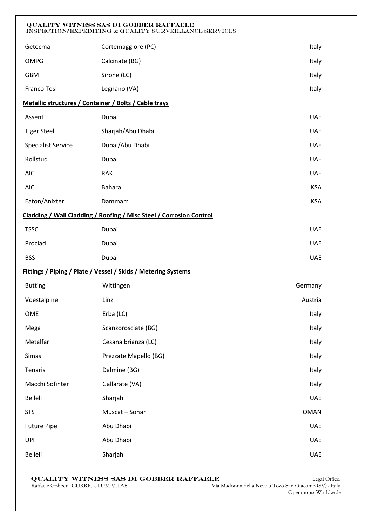| QUALITY WITNESS SAS DI GOBBER RAFFAELE<br>INSPECTION/EXPEDITING & QUALITY SURVEILLANCE SERVICES |                                                                     |             |  |
|-------------------------------------------------------------------------------------------------|---------------------------------------------------------------------|-------------|--|
| Getecma                                                                                         | Cortemaggiore (PC)                                                  | Italy       |  |
| <b>OMPG</b>                                                                                     | Calcinate (BG)                                                      | Italy       |  |
| <b>GBM</b>                                                                                      | Sirone (LC)                                                         | Italy       |  |
| Franco Tosi                                                                                     | Legnano (VA)                                                        | Italy       |  |
| Metallic structures / Container / Bolts / Cable trays                                           |                                                                     |             |  |
| Assent                                                                                          | Dubai                                                               | <b>UAE</b>  |  |
| <b>Tiger Steel</b>                                                                              | Sharjah/Abu Dhabi                                                   | <b>UAE</b>  |  |
| <b>Specialist Service</b>                                                                       | Dubai/Abu Dhabi                                                     | <b>UAE</b>  |  |
| Rollstud                                                                                        | Dubai                                                               | <b>UAE</b>  |  |
| <b>AIC</b>                                                                                      | <b>RAK</b>                                                          | <b>UAE</b>  |  |
| <b>AIC</b>                                                                                      | <b>Bahara</b>                                                       | <b>KSA</b>  |  |
| Eaton/Anixter                                                                                   | Dammam                                                              | <b>KSA</b>  |  |
|                                                                                                 | Cladding / Wall Cladding / Roofing / Misc Steel / Corrosion Control |             |  |
| <b>TSSC</b>                                                                                     | Dubai                                                               | <b>UAE</b>  |  |
| Proclad                                                                                         | Dubai                                                               | <b>UAE</b>  |  |
| <b>BSS</b>                                                                                      | Dubai                                                               | <b>UAE</b>  |  |
|                                                                                                 | Fittings / Piping / Plate / Vessel / Skids / Metering Systems       |             |  |
| <b>Butting</b>                                                                                  | Wittingen                                                           | Germany     |  |
| Voestalpine                                                                                     | Linz                                                                | Austria     |  |
| OME                                                                                             | Erba (LC)                                                           | Italy       |  |
| Mega                                                                                            | Scanzorosciate (BG)                                                 | Italy       |  |
| Metalfar                                                                                        | Cesana brianza (LC)                                                 | Italy       |  |
| Simas                                                                                           | Prezzate Mapello (BG)                                               | Italy       |  |
| Tenaris                                                                                         | Dalmine (BG)                                                        | Italy       |  |
| Macchi Sofinter                                                                                 | Gallarate (VA)                                                      | Italy       |  |
| Belleli                                                                                         | Sharjah                                                             | <b>UAE</b>  |  |
| <b>STS</b>                                                                                      | Muscat - Sohar                                                      | <b>OMAN</b> |  |
| <b>Future Pipe</b>                                                                              | Abu Dhabi                                                           | <b>UAE</b>  |  |
| UPI                                                                                             | Abu Dhabi                                                           | <b>UAE</b>  |  |
| Belleli                                                                                         | Sharjah                                                             | <b>UAE</b>  |  |

 **QUALITY WITNESS SAS DI GOBBER RAFFAELE** Legal Office: Raffaele Gobber CURRICULUM VITAE Via Madonna della Neve 5 Tovo San Giacomo (SV) - Italy

Legal Office:<br>Via Madonna della Neve 5 Tovo San Giacomo (SV) - Italy<br>Operations: Worldwide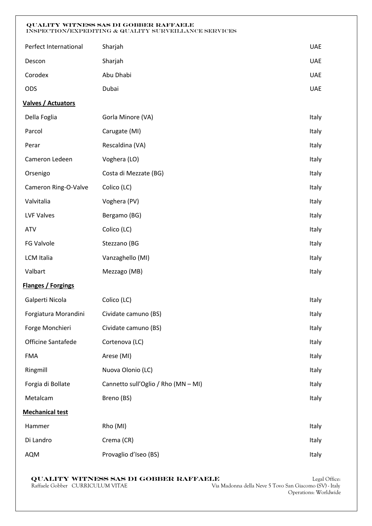| Perfect International  | Sharjah                             | <b>UAE</b> |
|------------------------|-------------------------------------|------------|
| Descon                 | Sharjah                             | <b>UAE</b> |
| Corodex                | Abu Dhabi                           | <b>UAE</b> |
| ODS                    | Dubai                               | <b>UAE</b> |
| Valves / Actuators     |                                     |            |
| Della Foglia           | Gorla Minore (VA)                   | Italy      |
| Parcol                 | Carugate (MI)                       | Italy      |
| Perar                  | Rescaldina (VA)                     | Italy      |
| Cameron Ledeen         | Voghera (LO)                        | Italy      |
| Orsenigo               | Costa di Mezzate (BG)               | Italy      |
| Cameron Ring-O-Valve   | Colico (LC)                         | Italy      |
| Valvitalia             | Voghera (PV)                        | Italy      |
| <b>LVF Valves</b>      | Bergamo (BG)                        | Italy      |
| <b>ATV</b>             | Colico (LC)                         | Italy      |
| FG Valvole             | Stezzano (BG                        | Italy      |
| <b>LCM Italia</b>      | Vanzaghello (MI)                    | Italy      |
| Valbart                | Mezzago (MB)                        | Italy      |
| Flanges / Forgings     |                                     |            |
| Galperti Nicola        | Colico (LC)                         | Italy      |
| Forgiatura Morandini   | Cividate camuno (BS)                | Italy      |
| Forge Monchieri        | Cividate camuno (BS)                | Italy      |
| Officine Santafede     | Cortenova (LC)                      | Italy      |
| <b>FMA</b>             | Arese (MI)                          | Italy      |
| Ringmill               | Nuova Olonio (LC)                   | Italy      |
| Forgia di Bollate      | Cannetto sull'Oglio / Rho (MN - MI) | Italy      |
| Metalcam               | Breno (BS)                          | Italy      |
| <b>Mechanical test</b> |                                     |            |
| Hammer                 | Rho (MI)                            | Italy      |
| Di Landro              | Crema (CR)                          | Italy      |
| AQM                    | Provaglio d'Iseo (BS)               | Italy      |

 **QUALITY WITNESS SAS DI GOBBER RAFFAELE** Legal Office:<br>Raffaele Gobber CURRICULUM VITAE Via Madonna della Neve 5 Tovo San Giacomo (SV) - Italy

Via Madonna della Neve 5 Tovo San Giacomo (SV) - Italy Operations: Worldwide